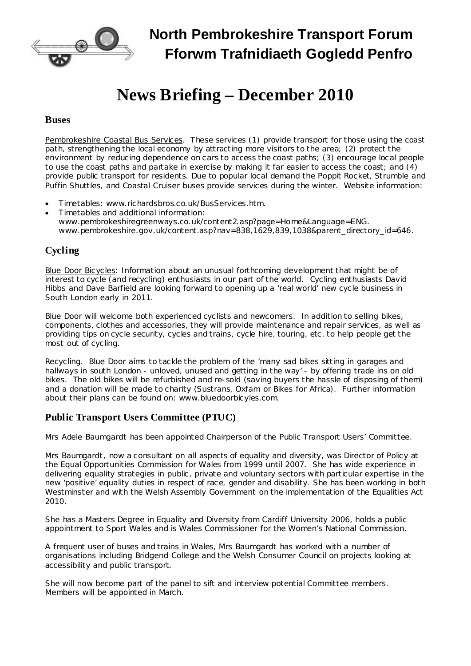

**North Pembrokeshire Transport Forum Fforwm Trafnidiaeth Gogledd Penfro**

# **News Briefing – December 2010**

#### **Buses**

Pembrokeshire Coastal Bus Services. These services (1) provide transport for those using the coast path, strengthening the local economy by attracting more visitors to the area; (2) protect the environment by reducing dependence on cars to access the coast paths; (3) encourage local people to use the coast paths and partake in exercise by making it far easier to access the coast; and (4) provide public transport for residents. Due to popular local demand the Poppit Rocket, Strumble and Puffin Shuttles, and Coastal Cruiser buses provide services during the winter. Website information:

- · Timetables: [www.richardsbros.co.uk/BusServices.htm.](http://www.richardsbros.co.uk/BusServices.htm)
- · Timetables and additional information: [www.pembrokeshiregreenways.co.uk/content2.asp?page=Home&Language=ENG.](http://www.pembrokeshiregreenways.co.uk/content2.asp?page=Home&Language=ENG) [www.pembrokeshire.gov.uk/content.asp?nav=838,1629,839,1038&parent\\_directory\\_id=646](http://www.pembrokeshire.gov.uk/content.asp?nav=838,1629,839,1038&parent_directory_id=646).

## **Cycling**

Blue Door Bicycles: Information about an unusual forthcoming development that might be of interest to cycle (and recycling) enthusiasts in our part of the world. Cycling enthusiasts David Hibbs and Dave Barfield are looking forward to opening up a 'real world' new cycle business in South London early in 2011.

Blue Door will welcome both experienced cyclists and newcomers. In addition to selling bikes, components, clothes and accessories, they will provide maintenance and repair services, as well as providing tips on cycle security, cycles and trains, cycle hire, touring, etc. to help people get the most out of cycling.

*Recycling*. Blue Door aims to tackle the problem of the 'many sad bikes sitting in garages and hallways in south London - unloved, unused and getting in the way' - by offering trade ins on old bikes. The old bikes will be refurbished and re-sold (saving buyers the hassle of disposing of them) and a donation will be made to charity [\(Sustrans,](http://www.sustrans.org.uk/) [Oxfam](http://www.oxfam.org.uk/) or Bikes for [Africa\)](http://bikesforafrica.org/). Further information about their plans can be found on: [www.bluedoorbicyles.com.](http://www.bluedoorbicyles.com/)

### **Public Transport Users Committee (PTUC)**

Mrs Adele Baumgardt has been appointed Chairperson of the Public Transport Users' Committee.

Mrs Baumgardt, now a consultant on all aspects of equality and diversity, was Director of Policy at the Equal Opportunities Commission for Wales from 1999 until 2007. She has wide experience in delivering equality strategies in public, private and voluntary sectors with particular expertise in the new 'positive' equality duties in respect of race, gender and disability. She has been working in both Westminster and with the Welsh Assembly Government on the implementation of the Equalities Act 2010.

She has a Masters Degree in Equality and Diversity from Cardiff University 2006, holds a public appointment to Sport Wales and is Wales Commissioner for the Women's National Commission.

A frequent user of buses and trains in Wales, Mrs Baumgardt has worked with a number of organisations including Bridgend College and the Welsh Consumer Council on projects looking at accessibility and public transport.

She will now become part of the panel to sift and interview potential Committee members. Members will be appointed in March.